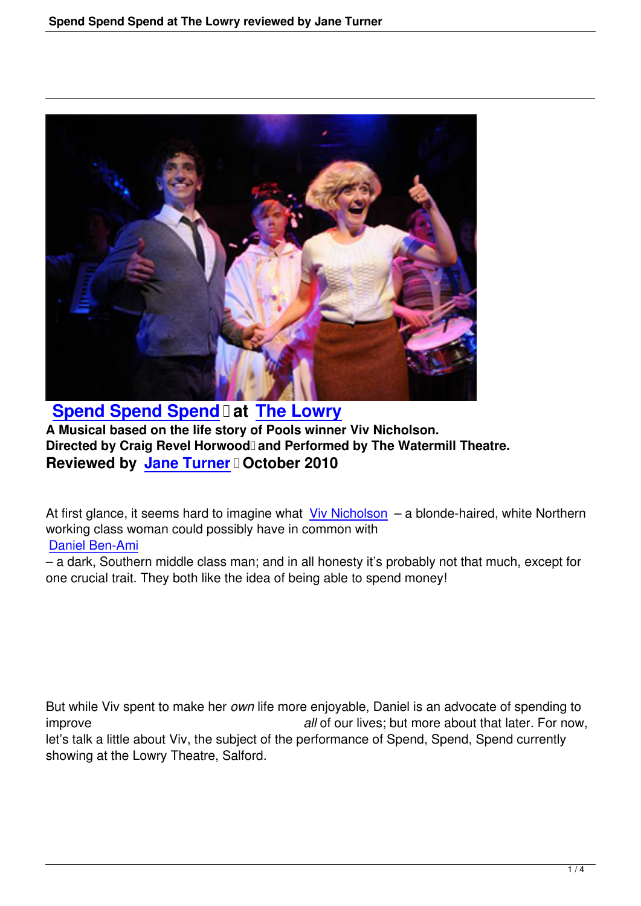

## **Spend Spend Spend I at The Lowry A Musical based on the life story of Pools winner Viv Nicholson.**  Directed by Craig Revel Horwood and Performed by The Watermill Theatre. **[Reviewed by Jane Turne](spend-spend-spend-lowry-reviewed-by-jane-turner.html)r O[ctober 2010](http://www.thelowry.com/)**

At first glance, it [seems hard to im](people.html#jane-turner)agine what Viv Nicholson – a blonde-haired, white Northern working class woman could possibly have in common with

## Daniel Ben-Ami

– a dark, Southern middle class man; and in a[ll honesty it's p](http://www.vivnicholson.com/)robably not that much, except for one crucial trait. They both like the idea of being able to spend money!

But while Viv spent to make her *own* life more enjoyable, Daniel is an advocate of spending to improve *all* of our lives; but more about that later. For now, let's talk a little about Viv, the subject of the performance of Spend, Spend, Spend currently showing at the Lowry Theatre, Salford.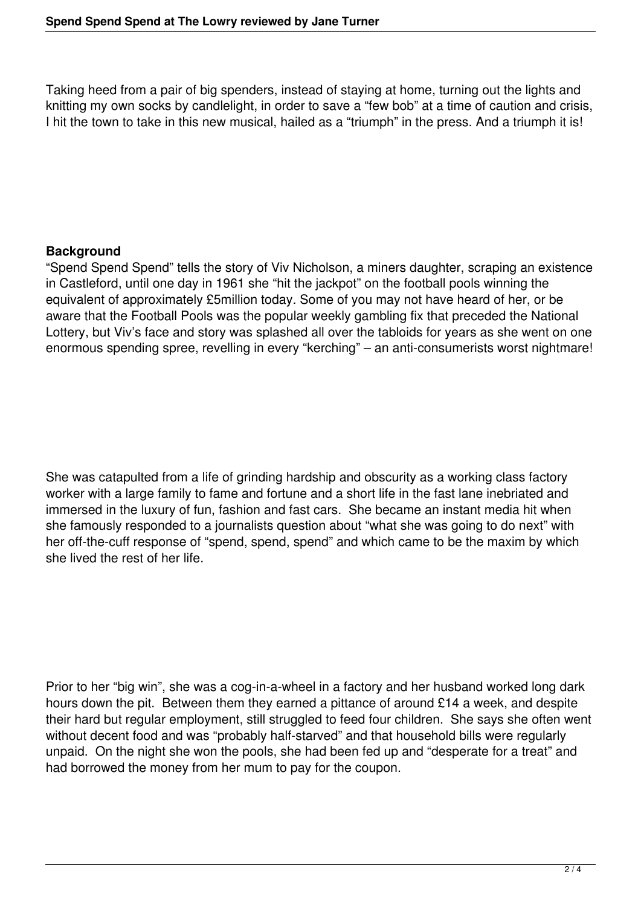Taking heed from a pair of big spenders, instead of staying at home, turning out the lights and knitting my own socks by candlelight, in order to save a "few bob" at a time of caution and crisis, I hit the town to take in this new musical, hailed as a "triumph" in the press. And a triumph it is!

## **Background**

"Spend Spend Spend" tells the story of Viv Nicholson, a miners daughter, scraping an existence in Castleford, until one day in 1961 she "hit the jackpot" on the football pools winning the equivalent of approximately £5million today. Some of you may not have heard of her, or be aware that the Football Pools was the popular weekly gambling fix that preceded the National Lottery, but Viv's face and story was splashed all over the tabloids for years as she went on one enormous spending spree, revelling in every "kerching" – an anti-consumerists worst nightmare!

She was catapulted from a life of grinding hardship and obscurity as a working class factory worker with a large family to fame and fortune and a short life in the fast lane inebriated and immersed in the luxury of fun, fashion and fast cars. She became an instant media hit when she famously responded to a journalists question about "what she was going to do next" with her off-the-cuff response of "spend, spend, spend" and which came to be the maxim by which she lived the rest of her life.

Prior to her "big win", she was a cog-in-a-wheel in a factory and her husband worked long dark hours down the pit. Between them they earned a pittance of around £14 a week, and despite their hard but regular employment, still struggled to feed four children. She says she often went without decent food and was "probably half-starved" and that household bills were regularly unpaid. On the night she won the pools, she had been fed up and "desperate for a treat" and had borrowed the money from her mum to pay for the coupon.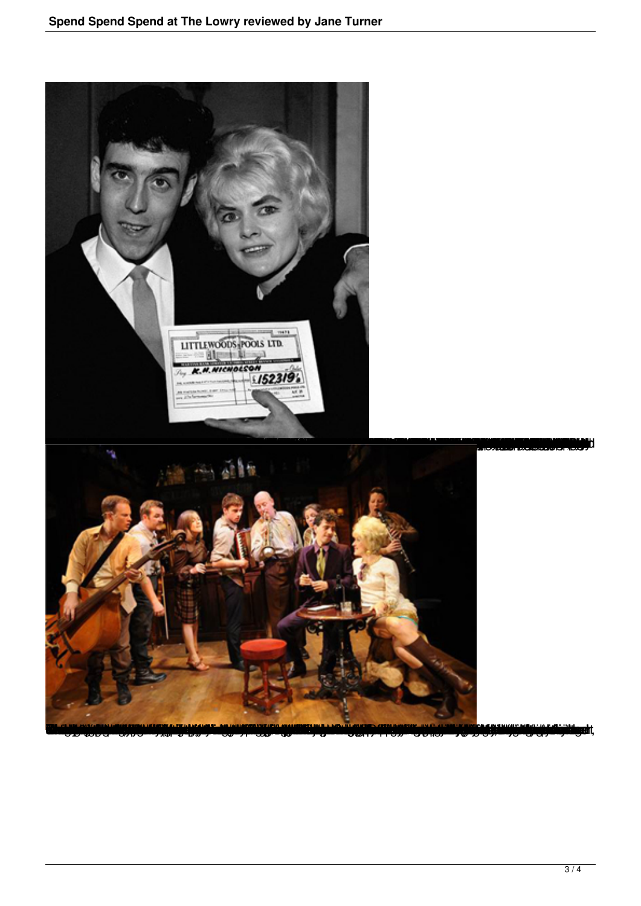